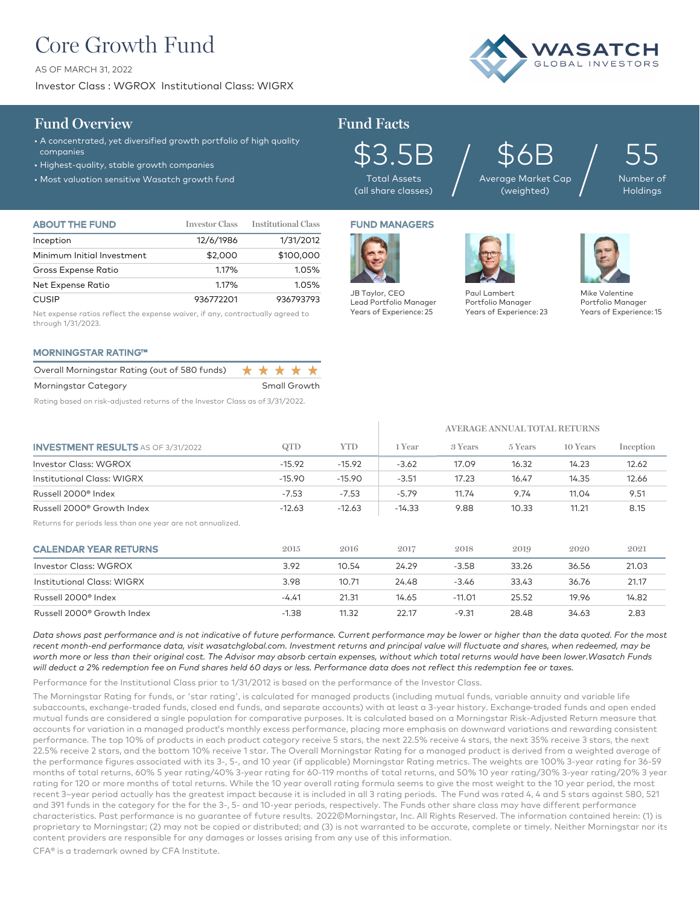## Core Growth Fund

AS OF MARCH 31, 2022

Investor Class : WGROX Institutional Class: WIGRX

# **/ASATC**

### **Fund Overview Fund Facts**

• A concentrated, yet diversified growth portfolio of high quality companies

- Highest-quality, stable growth companies
- Most valuation sensitive Wasatch growth fund

\$3.5B Total Assets (all share classes)

\$6B Average Market Cap  $\mathfrak{P}\mathsf{6B}_{\tiny{\text{age Market Cap}}}\Big/$ 

**AVERAGE ANNUAL TOTAL RETURNS**

55 Number of **Holdings** 

| <b>ABOUT THE FUND</b>      | <b>Investor Class</b> | <b>Institutional Class</b> |
|----------------------------|-----------------------|----------------------------|
| Inception                  | 12/6/1986             | 1/31/2012                  |
| Minimum Initial Investment | \$2,000               | \$100,000                  |
| Gross Expense Ratio        | 1.17%                 | 1.05%                      |
| Net Expense Ratio          | 1.17%                 | 1.05%                      |
| <b>CUSIP</b>               | 936772201             | 936793793                  |

Net expense ratios reflect the expense waiver, if any, contractually agreed to through 1/31/2023.

### MORNINGSTAR RATING™

| Overall Morningstar Rating (out of 580 funds) ★ ★ ★ ★ ★ |  |                   |  |
|---------------------------------------------------------|--|-------------------|--|
| Morningstar Category                                    |  | Small Growth      |  |
|                                                         |  | _ _ _ _ _ _ _ _ _ |  |

Rating based on risk-adjusted returns of the Investor Class as of 3/31/2022.

# FUND MANAGERS



Paul Lambert Portfolio Manager Years of Experience: 23



Mike Valentine Portfolio Manager Years of Experience: 15

| <b>INVESTMENT RESULTS</b> AS OF 3/31/2022                  | QTD      | <b>YTD</b> | 1 Year   | 3 Years  | 5 Years | 10 Years | Inception |
|------------------------------------------------------------|----------|------------|----------|----------|---------|----------|-----------|
| <b>Investor Class: WGROX</b>                               | $-15.92$ | $-15.92$   | $-3.62$  | 17.09    | 16.32   | 14.23    | 12.62     |
| Institutional Class: WIGRX                                 | $-15.90$ | $-15.90$   | $-3.51$  | 17.23    | 16.47   | 14.35    | 12.66     |
| Russell 2000 <sup>®</sup> Index                            | $-7.53$  | $-7.53$    | $-5.79$  | 11.74    | 9.74    | 11.04    | 9.51      |
| Russell 2000 <sup>®</sup> Growth Index                     | $-12.63$ | $-12.63$   | $-14.33$ | 9.88     | 10.33   | 11.21    | 8.15      |
| Returns for periods less than one year are not annualized. |          |            |          |          |         |          |           |
| <b>CALENDAR YEAR RETURNS</b>                               | 2015     | 2016       | 2017     | 2018     | 2019    | 2020     | 2021      |
| <b>Investor Class: WGROX</b>                               | 3.92     | 10.54      | 24.29    | $-3.58$  | 33.26   | 36.56    | 21.03     |
| <b>Institutional Class: WIGRX</b>                          | 3.98     | 10.71      | 24.48    | $-3.46$  | 33.43   | 36.76    | 21.17     |
| Russell 2000 <sup>®</sup> Index                            | $-4.41$  | 21.31      | 14.65    | $-11.01$ | 25.52   | 19.96    | 14.82     |
| Russell 2000® Growth Index                                 | $-1.38$  | 11 32      | 22 17    | $-9.31$  | 28 48   | 34 A3    | 2.83      |

*Data shows past performance and is not indicative of future performance. Current performance may be lower or higher than the data quoted. For the most*  recent month-end performance data, visit wasatchglobal.com. Investment returns and principal value will fluctuate and shares, when redeemed, may be *worth more or less than their original cost. The Advisor may absorb certain expenses, without which total returns would have been lower.Wasatch Funds will deduct a 2% redemption fee on Fund shares held 60 days or less. Performance data does not reflect this redemption fee or taxes.*

Performance for the Institutional Class prior to 1/31/2012 is based on the performance of the Investor Class.

The Morningstar Rating for funds, or 'star rating', is calculated for managed products (including mutual funds, variable annuity and variable life subaccounts, exchange-traded funds, closed end funds, and separate accounts) with at least a 3-year history. Exchange–traded funds and open ended mutual funds are considered a single population for comparative purposes. It is calculated based on a Morningstar Risk-Adjusted Return measure that accounts for variation in a managed product's monthly excess performance, placing more emphasis on downward variations and rewarding consistent performance. The top 10% of products in each product category receive 5 stars, the next 22.5% receive 4 stars, the next 35% receive 3 stars, the next 22.5% receive 2 stars, and the bottom 10% receive 1 star. The Overall Morningstar Rating for a managed product is derived from a weighted average of the performance figures associated with its 3-, 5-, and 10 year (if applicable) Morningstar Rating metrics. The weights are 100% 3-year rating for 36-59 months of total returns, 60% 5 year rating/40% 3-year rating for 60-119 months of total returns, and 50% 10 year rating/30% 3-year rating/20% 3 year rating for 120 or more months of total returns. While the 10 year overall rating formula seems to give the most weight to the 10 year period, the most recent 3–year period actually has the greatest impact because it is included in all 3 rating periods. The Fund was rated 4, 4 and 5 stars against 580, 521 and 391 funds in the category for the for the 3-, 5- and 10-year periods, respectively. The Funds other share class may have different performance characteristics. Past performance is no guarantee of future results. 2022©Morningstar, Inc. All Rights Reserved. The information contained herein: (1) is proprietary to Morningstar; (2) may not be copied or distributed; and (3) is not warranted to be accurate, complete or timely. Neither Morningstar nor its content providers are responsible for any damages or losses arising from any use of this information.

CFA® is a trademark owned by CFA Institute.